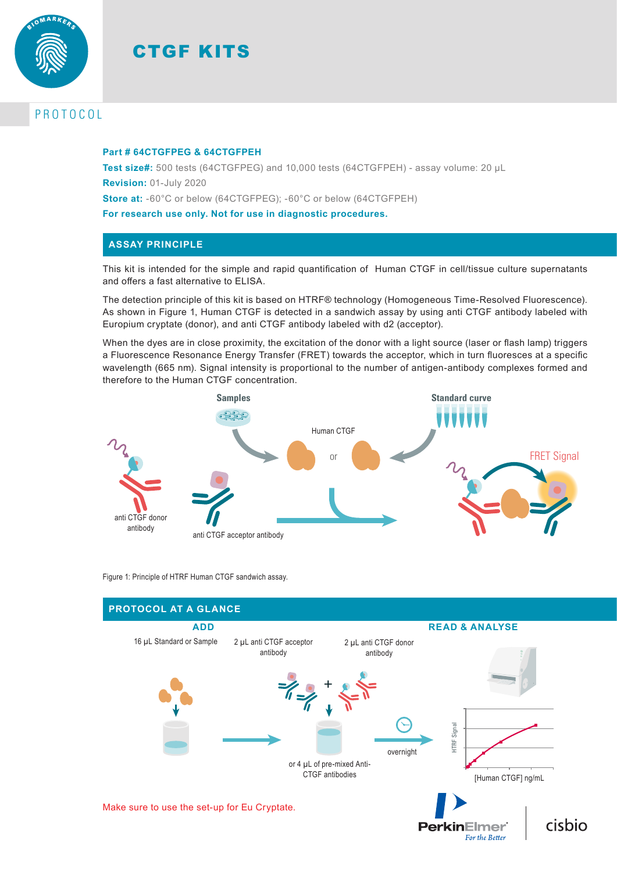



# PROTOCOL

#### **Part # 64CTGFPEG & 64CTGFPEH**

**Test size#:** 500 tests (64CTGFPEG) and 10,000 tests (64CTGFPEH) - assay volume: 20 µL **Revision:** 01-July 2020 **Store at:** -60°C or below (64CTGFPEG); -60°C or below (64CTGFPEH)

**For research use only. Not for use in diagnostic procedures.**

## **ASSAY PRINCIPLE**

This kit is intended for the simple and rapid quantification of Human CTGF in cell/tissue culture supernatants and offers a fast alternative to ELISA.

The detection principle of this kit is based on HTRF® technology (Homogeneous Time-Resolved Fluorescence). As shown in Figure 1, Human CTGF is detected in a sandwich assay by using anti CTGF antibody labeled with Europium cryptate (donor), and anti CTGF antibody labeled with d2 (acceptor).

When the dyes are in close proximity, the excitation of the donor with a light source (laser or flash lamp) triggers a Fluorescence Resonance Energy Transfer (FRET) towards the acceptor, which in turn fluoresces at a specific wavelength (665 nm). Signal intensity is proportional to the number of antigen-antibody complexes formed and therefore to the Human CTGF concentration.



Figure 1: Principle of HTRF Human CTGF sandwich assay.

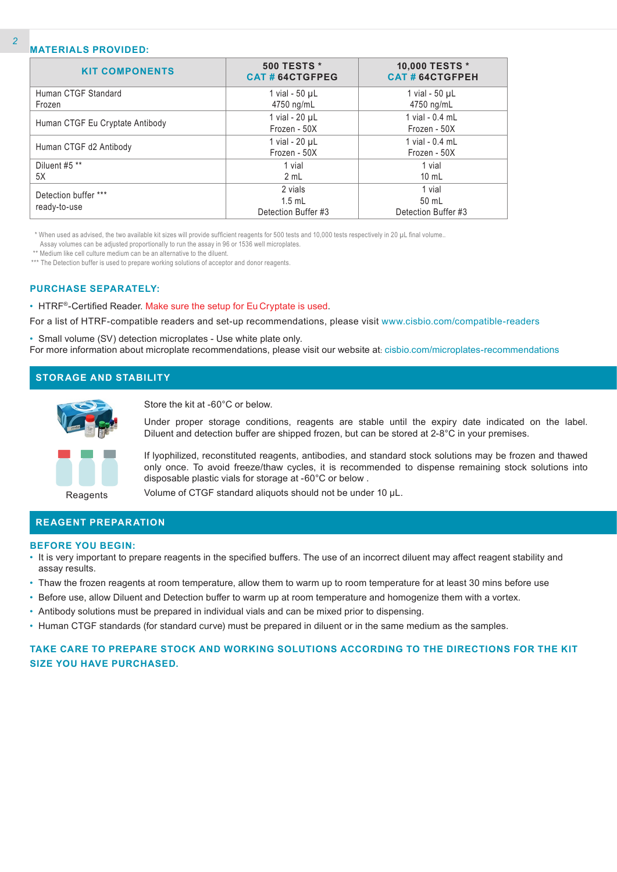### **MATERIALS PROVIDED:**

| <b>KIT COMPONENTS</b>           | <b>500 TESTS *</b><br>CAT#64CTGFPEG | 10,000 TESTS *<br><b>CAT # 64CTGFPEH</b> |  |  |
|---------------------------------|-------------------------------------|------------------------------------------|--|--|
| Human CTGF Standard             | 1 vial - $50 \mu L$                 | 1 vial - $50 \mu L$                      |  |  |
| Frozen                          | 4750 ng/mL                          | 4750 ng/mL                               |  |  |
|                                 | 1 vial - 20 µL                      | 1 vial - 0.4 mL                          |  |  |
| Human CTGF Eu Cryptate Antibody | Frozen - 50X                        | Frozen - 50X                             |  |  |
|                                 | 1 vial - 20 µL                      | 1 vial - 0.4 mL                          |  |  |
| Human CTGF d2 Antibody          | Frozen - 50X                        | Frozen - 50X                             |  |  |
| Diluent #5 **                   | 1 vial                              | 1 vial                                   |  |  |
| 5X                              | 2 mL                                | $10 \text{ mL}$                          |  |  |
| Detection buffer ***            | 2 vials                             | 1 vial                                   |  |  |
|                                 | $1.5$ mL                            | 50 mL                                    |  |  |
| ready-to-use                    | Detection Buffer #3                 | Detection Buffer #3                      |  |  |

\* When used as advised, the two available kit sizes will provide sufficient reagents for 500 tests and 10,000 tests respectively in 20 µL final volume..

Assay volumes can be adjusted proportionally to run the assay in 96 or 1536 well microplates.

\*\* Medium like cell culture medium can be an alternative to the diluent.

\*\*\* The Detection buffer is used to prepare working solutions of acceptor and donor reagents.

#### **PURCHASE SEPARATELY:**

• HTRF®-Certified Reader. Make sure the setup for Eu Cryptate is used.

For a list of HTRF-compatible readers and set-up recommendations, please visit www.cisbio.com/compatible-readers

• Small volume (SV) detection microplates - Use white plate only. For more information about microplate recommendations, please visit our website at: cisbio.com/microplates-recommendations

## **STORAGE AND STABILITY**



Store the kit at -60°C or below.

Under proper storage conditions, reagents are stable until the expiry date indicated on the label. Diluent and detection buffer are shipped frozen, but can be stored at 2-8°C in your premises.

If lyophilized, reconstituted reagents, antibodies, and standard stock solutions may be frozen and thawed only once. To avoid freeze/thaw cycles, it is recommended to dispense remaining stock solutions into disposable plastic vials for storage at -60°C or below .

Reagents

Volume of CTGF standard aliquots should not be under 10 µL.

## **REAGENT PREPARATION**

#### **BEFORE YOU BEGIN:**

- It is very important to prepare reagents in the specified buffers. The use of an incorrect diluent may affect reagent stability and assay results.
- Thaw the frozen reagents at room temperature, allow them to warm up to room temperature for at least 30 mins before use
- Before use, allow Diluent and Detection buffer to warm up at room temperature and homogenize them with a vortex.
- Antibody solutions must be prepared in individual vials and can be mixed prior to dispensing.
- Human CTGF standards (for standard curve) must be prepared in diluent or in the same medium as the samples.

## **TAKE CARE TO PREPARE STOCK AND WORKING SOLUTIONS ACCORDING TO THE DIRECTIONS FOR THE KIT SIZE YOU HAVE PURCHASED.**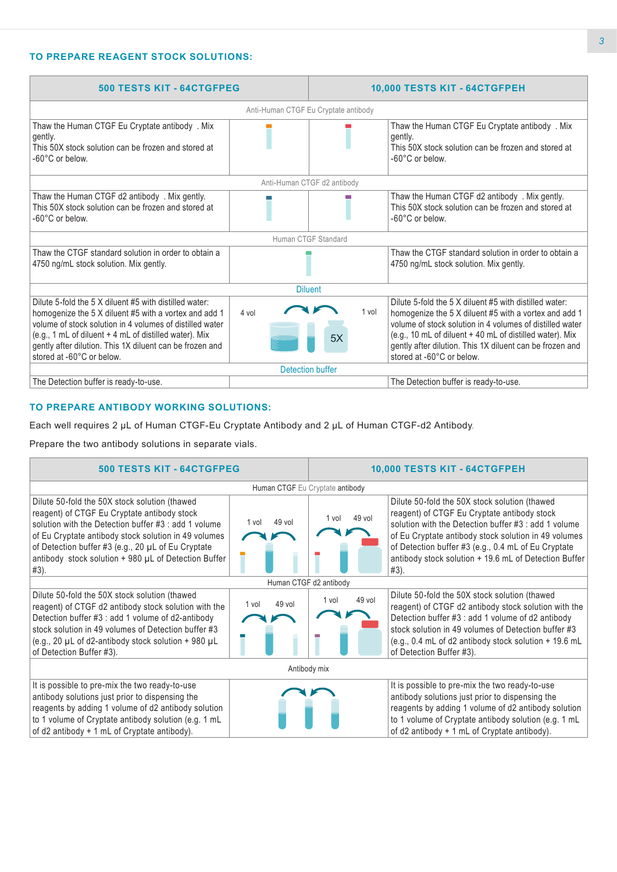## **TO PREPARE REAGENT STOCK SOLUTIONS:**

| <b>500 TESTS KIT - 64CTGFPEG</b>                                                                                                                                                                                                                                                                                               |                             | 10,000 TESTS KIT - 64CTGFPEH |                                                                                                                                                                                                                                                                                                                                  |  |  |  |  |  |
|--------------------------------------------------------------------------------------------------------------------------------------------------------------------------------------------------------------------------------------------------------------------------------------------------------------------------------|-----------------------------|------------------------------|----------------------------------------------------------------------------------------------------------------------------------------------------------------------------------------------------------------------------------------------------------------------------------------------------------------------------------|--|--|--|--|--|
| Anti-Human CTGF Eu Cryptate antibody                                                                                                                                                                                                                                                                                           |                             |                              |                                                                                                                                                                                                                                                                                                                                  |  |  |  |  |  |
| Thaw the Human CTGF Eu Cryptate antibody. Mix<br>gently.<br>This 50X stock solution can be frozen and stored at<br>-60°C or below.                                                                                                                                                                                             |                             |                              | Thaw the Human CTGF Eu Cryptate antibody. Mix<br>gently.<br>This 50X stock solution can be frozen and stored at<br>-60°C or below.                                                                                                                                                                                               |  |  |  |  |  |
|                                                                                                                                                                                                                                                                                                                                | Anti-Human CTGF d2 antibody |                              |                                                                                                                                                                                                                                                                                                                                  |  |  |  |  |  |
| Thaw the Human CTGF d2 antibody . Mix gently.<br>This 50X stock solution can be frozen and stored at<br>-60°C or below.                                                                                                                                                                                                        |                             |                              | Thaw the Human CTGF d2 antibody . Mix gently.<br>This 50X stock solution can be frozen and stored at<br>-60°C or below.                                                                                                                                                                                                          |  |  |  |  |  |
|                                                                                                                                                                                                                                                                                                                                | Human CTGF Standard         |                              |                                                                                                                                                                                                                                                                                                                                  |  |  |  |  |  |
| Thaw the CTGF standard solution in order to obtain a<br>4750 ng/mL stock solution. Mix gently.                                                                                                                                                                                                                                 |                             |                              | Thaw the CTGF standard solution in order to obtain a<br>4750 ng/mL stock solution. Mix gently.                                                                                                                                                                                                                                   |  |  |  |  |  |
|                                                                                                                                                                                                                                                                                                                                | <b>Diluent</b>              |                              |                                                                                                                                                                                                                                                                                                                                  |  |  |  |  |  |
| Dilute 5-fold the 5 X diluent #5 with distilled water:<br>homogenize the 5 X diluent #5 with a vortex and add 1<br>volume of stock solution in 4 volumes of distilled water<br>(e.g., 1 mL of diluent + 4 mL of distilled water). Mix<br>gently after dilution. This 1X diluent can be frozen and<br>stored at -60°C or below. | 4 vol                       | 1 vol<br>5X                  | Dilute 5-fold the 5 X diluent #5 with distilled water:<br>homogenize the 5 X diluent #5 with a vortex and add 1<br>volume of stock solution in 4 volumes of distilled water<br>(e.g., 10 mL of diluent + 40 mL of distilled water). Mix<br>gently after dilution. This 1X diluent can be frozen and<br>stored at -60°C or below. |  |  |  |  |  |
|                                                                                                                                                                                                                                                                                                                                | Detection buffer            |                              |                                                                                                                                                                                                                                                                                                                                  |  |  |  |  |  |
| The Detection buffer is ready-to-use.                                                                                                                                                                                                                                                                                          |                             |                              | The Detection buffer is ready-to-use.                                                                                                                                                                                                                                                                                            |  |  |  |  |  |

## **TO PREPARE ANTIBODY WORKING SOLUTIONS:**

Each well requires 2 µL of Human CTGF-Eu Cryptate Antibody and 2 µL of Human CTGF-d2 Antibody.

Prepare the two antibody solutions in separate vials.

| <b>500 TESTS KIT - 64CTGFPEG</b>                                                                                                                                                                                                                                                                                                   |                 | 10,000 TESTS KIT - 64CTGFPEH |                                                                                                                                                                                                                                                                                                                                      |  |  |  |  |  |
|------------------------------------------------------------------------------------------------------------------------------------------------------------------------------------------------------------------------------------------------------------------------------------------------------------------------------------|-----------------|------------------------------|--------------------------------------------------------------------------------------------------------------------------------------------------------------------------------------------------------------------------------------------------------------------------------------------------------------------------------------|--|--|--|--|--|
| Human CTGF Eu Cryptate antibody                                                                                                                                                                                                                                                                                                    |                 |                              |                                                                                                                                                                                                                                                                                                                                      |  |  |  |  |  |
| Dilute 50-fold the 50X stock solution (thawed<br>reagent) of CTGF Eu Cryptate antibody stock<br>solution with the Detection buffer #3 : add 1 volume<br>of Eu Cryptate antibody stock solution in 49 volumes<br>of Detection buffer #3 (e.g., 20 µL of Eu Cryptate<br>antibody stock solution + 980 µL of Detection Buffer<br>#3). | 49 vol<br>1 vol | $49$ vol<br>1 vol            | Dilute 50-fold the 50X stock solution (thawed<br>reagent) of CTGF Eu Cryptate antibody stock<br>solution with the Detection buffer #3 : add 1 volume<br>of Eu Cryptate antibody stock solution in 49 volumes<br>of Detection buffer #3 (e.g., 0.4 mL of Eu Cryptate<br>antibody stock solution + 19.6 mL of Detection Buffer<br>#3). |  |  |  |  |  |
|                                                                                                                                                                                                                                                                                                                                    |                 | Human CTGF d2 antibody       |                                                                                                                                                                                                                                                                                                                                      |  |  |  |  |  |
| Dilute 50-fold the 50X stock solution (thawed<br>reagent) of CTGF d2 antibody stock solution with the<br>Detection buffer #3 : add 1 volume of d2-antibody<br>stock solution in 49 volumes of Detection buffer #3<br>(e.g., 20 $\mu$ L of d2-antibody stock solution + 980 $\mu$ L<br>of Detection Buffer #3).                     | 49 vol<br>1 vol | 49 vol<br>1 vol              | Dilute 50-fold the 50X stock solution (thawed<br>reagent) of CTGF d2 antibody stock solution with the<br>Detection buffer #3 : add 1 volume of d2 antibody<br>stock solution in 49 volumes of Detection buffer #3<br>(e.g., 0.4 mL of d2 antibody stock solution + 19.6 mL<br>of Detection Buffer #3).                               |  |  |  |  |  |
| Antibody mix                                                                                                                                                                                                                                                                                                                       |                 |                              |                                                                                                                                                                                                                                                                                                                                      |  |  |  |  |  |
| It is possible to pre-mix the two ready-to-use<br>antibody solutions just prior to dispensing the<br>reagents by adding 1 volume of d2 antibody solution<br>to 1 volume of Cryptate antibody solution (e.g. 1 mL<br>of d2 antibody + 1 mL of Cryptate antibody).                                                                   |                 |                              | It is possible to pre-mix the two ready-to-use<br>antibody solutions just prior to dispensing the<br>reagents by adding 1 volume of d2 antibody solution<br>to 1 volume of Cryptate antibody solution (e.g. 1 mL<br>of d2 antibody + 1 mL of Cryptate antibody).                                                                     |  |  |  |  |  |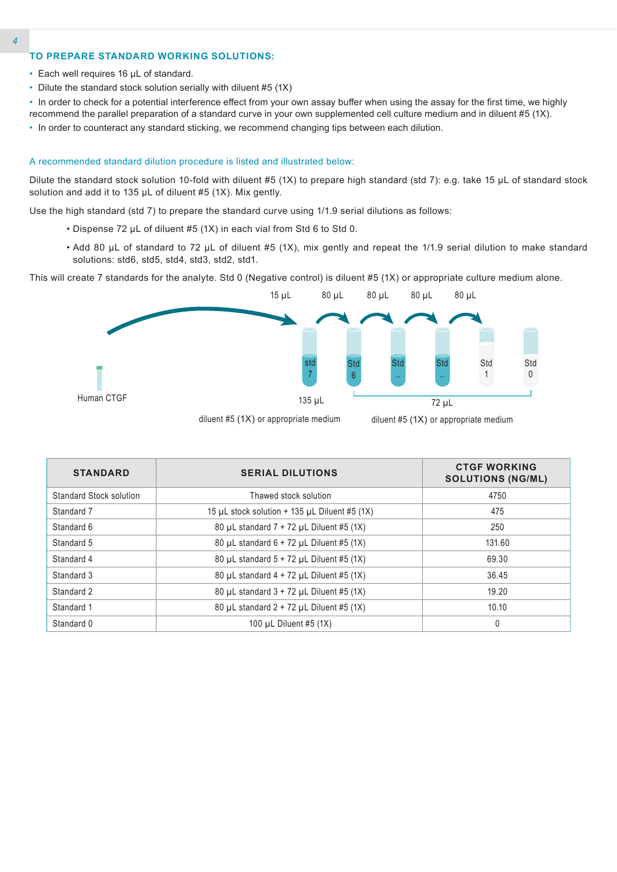### **TO PREPARE STANDARD WORKING SOLUTIONS:**

- Each well requires 16 µL of standard.
- Dilute the standard stock solution serially with diluent #5 (1X)
- In order to check for a potential interference effect from your own assay buffer when using the assay for the first time, we highly recommend the parallel preparation of a standard curve in your own supplemented cell culture medium and in diluent #5 (1X).
- In order to counteract any standard sticking, we recommend changing tips between each dilution.

#### A recommended standard dilution procedure is listed and illustrated below:

Dilute the standard stock solution 10-fold with diluent #5 (1X) to prepare high standard (std 7): e.g. take 15 µL of standard stock solution and add it to 135 µL of diluent #5 (1X). Mix gently.

Use the high standard (std 7) to prepare the standard curve using 1/1.9 serial dilutions as follows:

- Dispense 72 µL of diluent #5 (1X) in each vial from Std 6 to Std 0.
- Add 80 µL of standard to 72 µL of diluent #5 (1X), mix gently and repeat the 1/1.9 serial dilution to make standard solutions: std6, std5, std4, std3, std2, std1.

This will create 7 standards for the analyte. Std 0 (Negative control) is diluent #5 (1X) or appropriate culture medium alone.



| <b>STANDARD</b>                | <b>SERIAL DILUTIONS</b>                                 | <b>CTGF WORKING</b><br><b>SOLUTIONS (NG/ML)</b> |
|--------------------------------|---------------------------------------------------------|-------------------------------------------------|
| <b>Standard Stock solution</b> | Thawed stock solution                                   | 4750                                            |
| Standard 7                     | 15 $\mu$ L stock solution + 135 $\mu$ L Diluent #5 (1X) | 475                                             |
| Standard 6                     | 80 $\mu$ L standard 7 + 72 $\mu$ L Diluent #5 (1X)      | 250                                             |
| Standard 5                     | 80 µL standard $6 + 72$ µL Diluent #5 (1X)              | 131.60                                          |
| Standard 4                     | 80 µL standard $5 + 72$ µL Diluent #5 (1X)              | 69.30                                           |
| Standard 3                     | 80 µL standard $4 + 72$ µL Diluent #5 (1X)              | 36.45                                           |
| Standard 2                     | 80 $\mu$ L standard 3 + 72 $\mu$ L Diluent #5 (1X)      | 19.20                                           |
| Standard 1                     | 80 µL standard $2 + 72$ µL Diluent #5 (1X)              | 10.10                                           |
| Standard 0                     | 100 uL Diluent #5 (1X)                                  | 0                                               |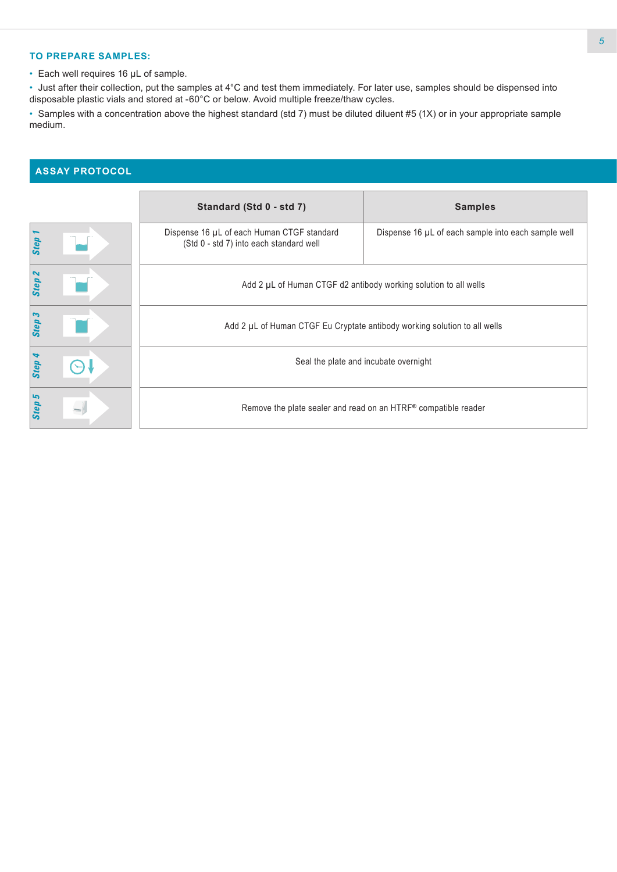### **TO PREPARE SAMPLES:**

• Each well requires 16 µL of sample.

• Just after their collection, put the samples at 4°C and test them immediately. For later use, samples should be dispensed into disposable plastic vials and stored at -60°C or below. Avoid multiple freeze/thaw cycles.

• Samples with a concentration above the highest standard (std 7) must be diluted diluent #5 (1X) or in your appropriate sample medium.

## **ASSAY PROTOCOL**

|                   | Standard (Std 0 - std 7)                                                              | <b>Samples</b>                                      |  |  |  |  |  |
|-------------------|---------------------------------------------------------------------------------------|-----------------------------------------------------|--|--|--|--|--|
| Step              | Dispense 16 µL of each Human CTGF standard<br>(Std 0 - std 7) into each standard well | Dispense 16 µL of each sample into each sample well |  |  |  |  |  |
| Step <sub>2</sub> | Add 2 µL of Human CTGF d2 antibody working solution to all wells                      |                                                     |  |  |  |  |  |
| Step 3            | Add 2 µL of Human CTGF Eu Cryptate antibody working solution to all wells             |                                                     |  |  |  |  |  |
| 4<br><b>Step</b>  | Seal the plate and incubate overnight                                                 |                                                     |  |  |  |  |  |
| Step 5            | Remove the plate sealer and read on an HTRF® compatible reader                        |                                                     |  |  |  |  |  |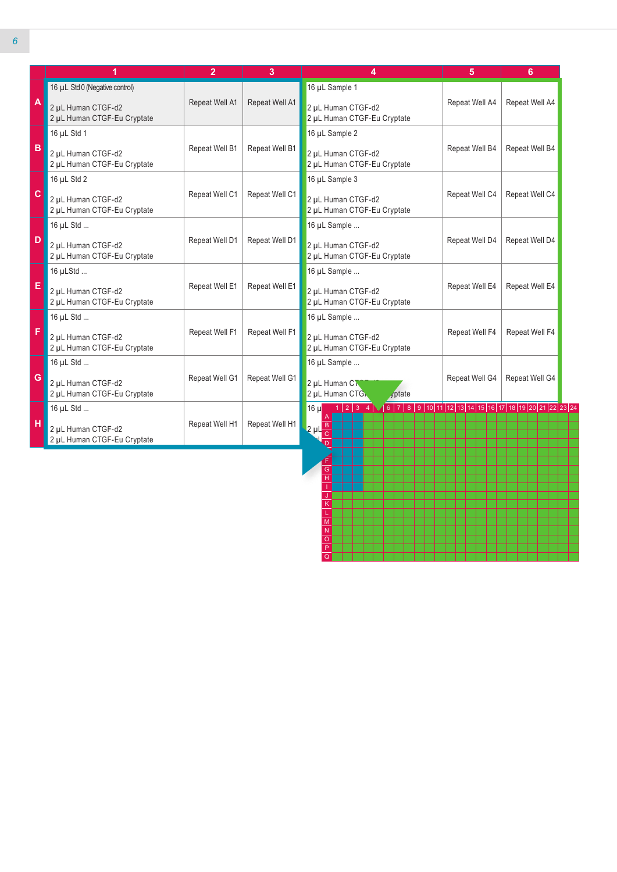|                         |                                                   | $\overline{2}$                                                                        | 3              | 4                                                                           | 5                                | 6              |  |
|-------------------------|---------------------------------------------------|---------------------------------------------------------------------------------------|----------------|-----------------------------------------------------------------------------|----------------------------------|----------------|--|
|                         | 16 µL Std 0 (Negative control)                    |                                                                                       |                | 16 µL Sample 1                                                              |                                  |                |  |
| $\overline{\mathsf{A}}$ | 2 µL Human CTGF-d2<br>2 µL Human CTGF-Eu Cryptate | Repeat Well A1                                                                        | Repeat Well A1 | 2 µL Human CTGF-d2<br>2 µL Human CTGF-Eu Cryptate                           | Repeat Well A4                   | Repeat Well A4 |  |
|                         | 16 µL Std 1                                       |                                                                                       |                | 16 µL Sample 2                                                              |                                  |                |  |
| B                       | 2 µL Human CTGF-d2<br>2 µL Human CTGF-Eu Cryptate | Repeat Well B1                                                                        | Repeat Well B1 | 2 µL Human CTGF-d2<br>2 µL Human CTGF-Eu Cryptate                           | Repeat Well B4                   | Repeat Well B4 |  |
|                         | 16 µL Std 2                                       |                                                                                       |                | 16 µL Sample 3                                                              |                                  |                |  |
| $\mathbf c$             | 2 µL Human CTGF-d2<br>2 µL Human CTGF-Eu Cryptate | Repeat Well C1                                                                        | Repeat Well C1 | 2 µL Human CTGF-d2<br>2 µL Human CTGF-Eu Cryptate                           | Repeat Well C4                   | Repeat Well C4 |  |
|                         | 16 µL Std                                         |                                                                                       |                | 16 µL Sample                                                                |                                  |                |  |
| D                       | 2 µL Human CTGF-d2<br>2 µL Human CTGF-Eu Cryptate | Repeat Well D1                                                                        | Repeat Well D1 | 2 µL Human CTGF-d2<br>2 µL Human CTGF-Eu Cryptate                           | Repeat Well D4                   | Repeat Well D4 |  |
|                         | 16 µLStd                                          |                                                                                       |                | 16 µL Sample                                                                |                                  |                |  |
| E                       | 2 µL Human CTGF-d2<br>2 µL Human CTGF-Eu Cryptate | Repeat Well E1                                                                        | Repeat Well E1 | 2 µL Human CTGF-d2<br>2 µL Human CTGF-Eu Cryptate                           | Repeat Well E4                   |                |  |
|                         | 16 µL Std                                         |                                                                                       |                | 16 µL Sample                                                                |                                  |                |  |
| F                       | 2 µL Human CTGF-d2<br>2 µL Human CTGF-Eu Cryptate | Repeat Well F1<br>Repeat Well F1<br>2 µL Human CTGF-d2<br>2 µL Human CTGF-Eu Cryptate |                | Repeat Well F4                                                              | Repeat Well F4                   |                |  |
|                         | 16 µL Std                                         |                                                                                       |                | 16 µL Sample                                                                |                                  |                |  |
| G                       | 2 µL Human CTGF-d2<br>2 µL Human CTGF-Eu Cryptate | Repeat Well G1                                                                        | Repeat Well G1 | 2 µL Human CT<br>2 µL Human CTG<br>vptate                                   | Repeat Well G4<br>Repeat Well G4 |                |  |
|                         | 16 µL Std                                         |                                                                                       |                | $1 2 3$ 4 $(6 7 8 9 10 11 12 13 14 15 16 17 18 19 20 21 22 23 24)$<br>16 ul |                                  |                |  |
| H                       | 2 µL Human CTGF-d2<br>2 µL Human CTGF-Eu Cryptate | Repeat Well H1                                                                        | Repeat Well H1 | $2 \mu L \frac{B}{C}$                                                       |                                  |                |  |

H I J K L M N O P Q